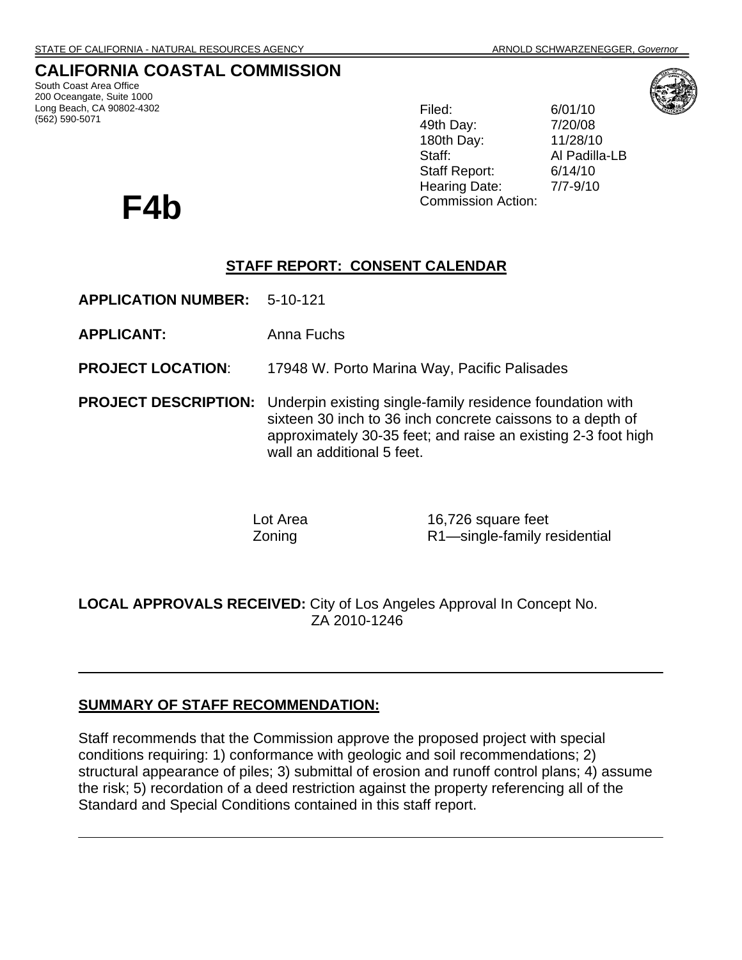# **CALIFORNIA COASTAL COMMISSION**

South Coast Area Office 200 Oceangate, Suite 1000 Long Beach, CA 90802-4302 (562) 590-5071

Filed: 6/01/10 49th Day: 7/20/08 180th Day: 11/28/10 Staff: Al Padilla-LB Staff Report: 6/14/10 Hearing Date: 7/7-9/10 F4b Commission Action:



## **STAFF REPORT: CONSENT CALENDAR**

- **APPLICATION NUMBER:** 5-10-121
- **APPLICANT:** Anna Fuchs
- **PROJECT LOCATION**: 17948 W. Porto Marina Way, Pacific Palisades
- **PROJECT DESCRIPTION:** Underpin existing single-family residence foundation with sixteen 30 inch to 36 inch concrete caissons to a depth of approximately 30-35 feet; and raise an existing 2-3 foot high wall an additional 5 feet.

Lot Area 16,726 square feet Zoning R1—single-family residential

**LOCAL APPROVALS RECEIVED:** City of Los Angeles Approval In Concept No. ZA 2010-1246

# **SUMMARY OF STAFF RECOMMENDATION:**

Staff recommends that the Commission approve the proposed project with special conditions requiring: 1) conformance with geologic and soil recommendations; 2) structural appearance of piles; 3) submittal of erosion and runoff control plans; 4) assume the risk; 5) recordation of a deed restriction against the property referencing all of the Standard and Special Conditions contained in this staff report.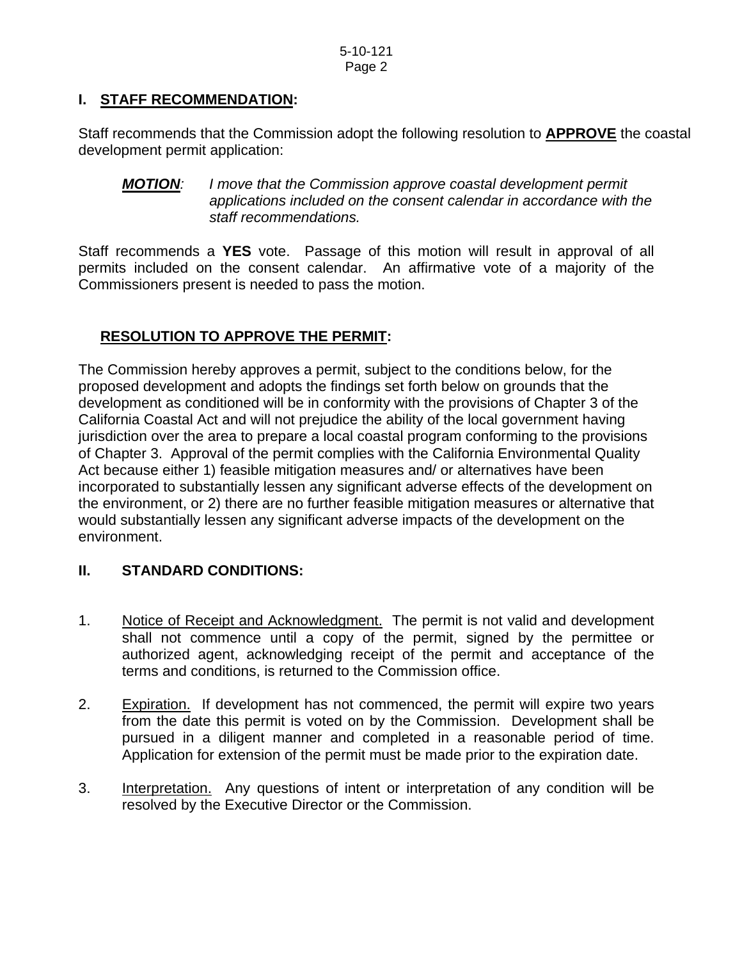# **I. STAFF RECOMMENDATION:**

Staff recommends that the Commission adopt the following resolution to **APPROVE** the coastal development permit application:

*MOTION: I move that the Commission approve coastal development permit applications included on the consent calendar in accordance with the staff recommendations.* 

Staff recommends a **YES** vote. Passage of this motion will result in approval of all permits included on the consent calendar. An affirmative vote of a majority of the Commissioners present is needed to pass the motion.

## **RESOLUTION TO APPROVE THE PERMIT:**

The Commission hereby approves a permit, subject to the conditions below, for the proposed development and adopts the findings set forth below on grounds that the development as conditioned will be in conformity with the provisions of Chapter 3 of the California Coastal Act and will not prejudice the ability of the local government having jurisdiction over the area to prepare a local coastal program conforming to the provisions of Chapter 3. Approval of the permit complies with the California Environmental Quality Act because either 1) feasible mitigation measures and/ or alternatives have been incorporated to substantially lessen any significant adverse effects of the development on the environment, or 2) there are no further feasible mitigation measures or alternative that would substantially lessen any significant adverse impacts of the development on the environment.

## **II. STANDARD CONDITIONS:**

- 1. Notice of Receipt and Acknowledgment. The permit is not valid and development shall not commence until a copy of the permit, signed by the permittee or authorized agent, acknowledging receipt of the permit and acceptance of the terms and conditions, is returned to the Commission office.
- 2. Expiration. If development has not commenced, the permit will expire two years from the date this permit is voted on by the Commission. Development shall be pursued in a diligent manner and completed in a reasonable period of time. Application for extension of the permit must be made prior to the expiration date.
- 3. Interpretation. Any questions of intent or interpretation of any condition will be resolved by the Executive Director or the Commission.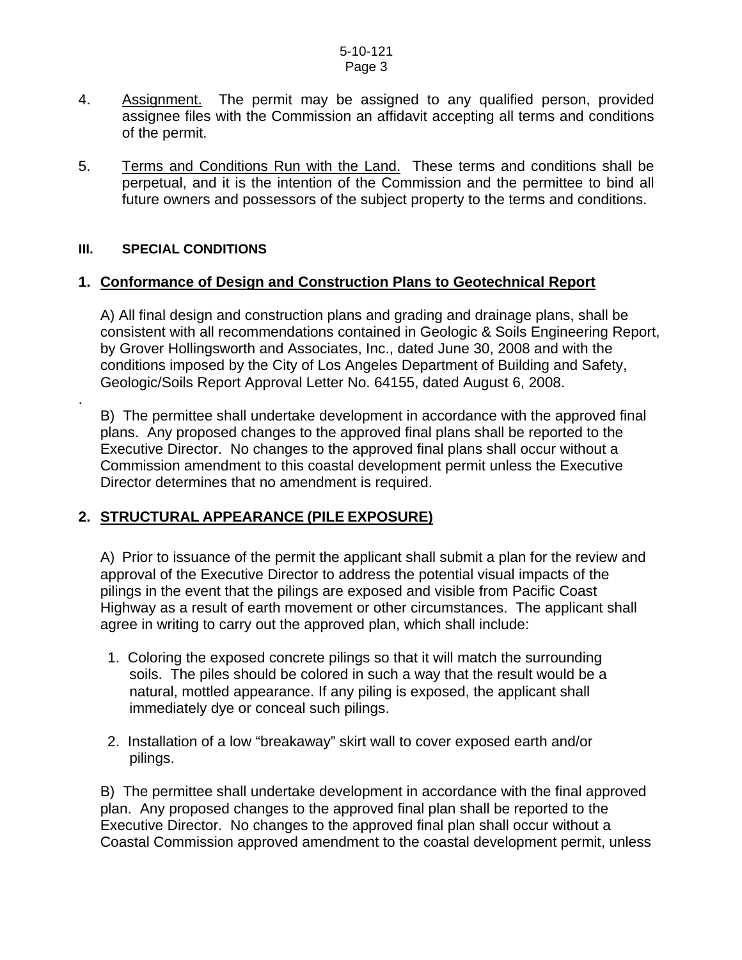5-10-121 Page 3

- 4. Assignment. The permit may be assigned to any qualified person, provided assignee files with the Commission an affidavit accepting all terms and conditions of the permit.
- 5. Terms and Conditions Run with the Land. These terms and conditions shall be perpetual, and it is the intention of the Commission and the permittee to bind all future owners and possessors of the subject property to the terms and conditions.

#### **III. SPECIAL CONDITIONS**

.

#### **1. Conformance of Design and Construction Plans to Geotechnical Report**

 A) All final design and construction plans and grading and drainage plans, shall be consistent with all recommendations contained in Geologic & Soils Engineering Report, by Grover Hollingsworth and Associates, Inc., dated June 30, 2008 and with the conditions imposed by the City of Los Angeles Department of Building and Safety, Geologic/Soils Report Approval Letter No. 64155, dated August 6, 2008.

 B) The permittee shall undertake development in accordance with the approved final plans. Any proposed changes to the approved final plans shall be reported to the Executive Director. No changes to the approved final plans shall occur without a Commission amendment to this coastal development permit unless the Executive Director determines that no amendment is required.

# **2. STRUCTURAL APPEARANCE (PILE EXPOSURE)**

A) Prior to issuance of the permit the applicant shall submit a plan for the review and approval of the Executive Director to address the potential visual impacts of the pilings in the event that the pilings are exposed and visible from Pacific Coast Highway as a result of earth movement or other circumstances. The applicant shall agree in writing to carry out the approved plan, which shall include:

- 1. Coloring the exposed concrete pilings so that it will match the surrounding soils. The piles should be colored in such a way that the result would be a natural, mottled appearance. If any piling is exposed, the applicant shall immediately dye or conceal such pilings.
- 2. Installation of a low "breakaway" skirt wall to cover exposed earth and/or pilings.

B) The permittee shall undertake development in accordance with the final approved plan. Any proposed changes to the approved final plan shall be reported to the Executive Director. No changes to the approved final plan shall occur without a Coastal Commission approved amendment to the coastal development permit, unless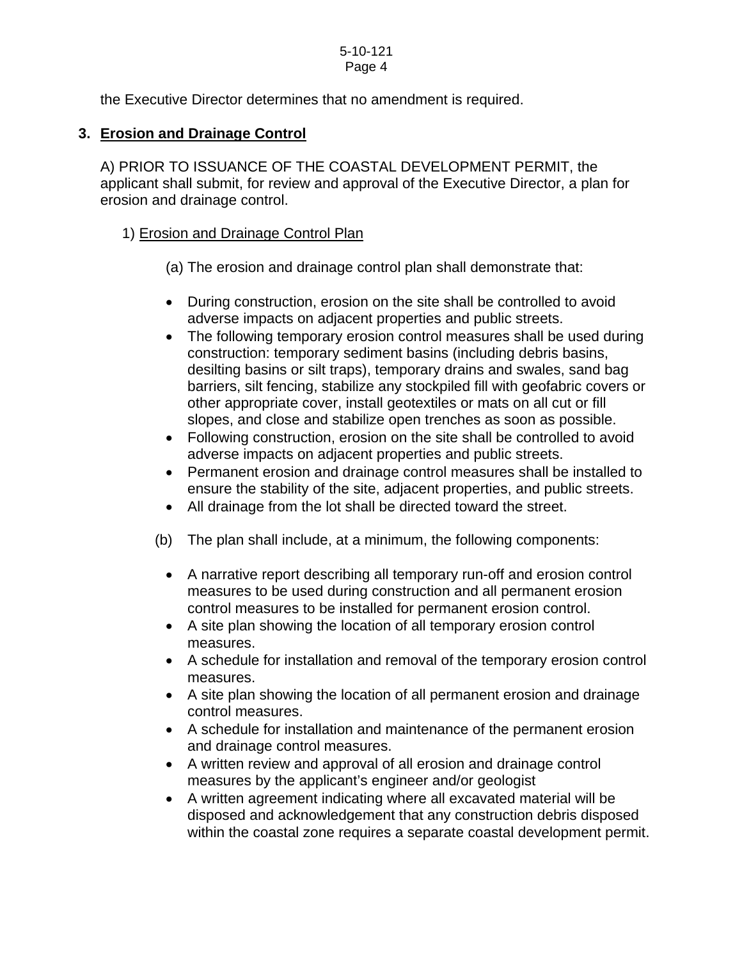#### 5-10-121 Page 4

the Executive Director determines that no amendment is required.

# **3. Erosion and Drainage Control**

 A) PRIOR TO ISSUANCE OF THE COASTAL DEVELOPMENT PERMIT, the applicant shall submit, for review and approval of the Executive Director, a plan for erosion and drainage control.

# 1) Erosion and Drainage Control Plan

- (a) The erosion and drainage control plan shall demonstrate that:
- During construction, erosion on the site shall be controlled to avoid adverse impacts on adjacent properties and public streets.
- The following temporary erosion control measures shall be used during construction: temporary sediment basins (including debris basins, desilting basins or silt traps), temporary drains and swales, sand bag barriers, silt fencing, stabilize any stockpiled fill with geofabric covers or other appropriate cover, install geotextiles or mats on all cut or fill slopes, and close and stabilize open trenches as soon as possible.
- Following construction, erosion on the site shall be controlled to avoid adverse impacts on adjacent properties and public streets.
- Permanent erosion and drainage control measures shall be installed to ensure the stability of the site, adjacent properties, and public streets.
- All drainage from the lot shall be directed toward the street.
- (b) The plan shall include, at a minimum, the following components:
	- A narrative report describing all temporary run-off and erosion control measures to be used during construction and all permanent erosion control measures to be installed for permanent erosion control.
	- A site plan showing the location of all temporary erosion control measures.
	- A schedule for installation and removal of the temporary erosion control measures.
	- A site plan showing the location of all permanent erosion and drainage control measures.
	- A schedule for installation and maintenance of the permanent erosion and drainage control measures.
	- A written review and approval of all erosion and drainage control measures by the applicant's engineer and/or geologist
	- A written agreement indicating where all excavated material will be disposed and acknowledgement that any construction debris disposed within the coastal zone requires a separate coastal development permit.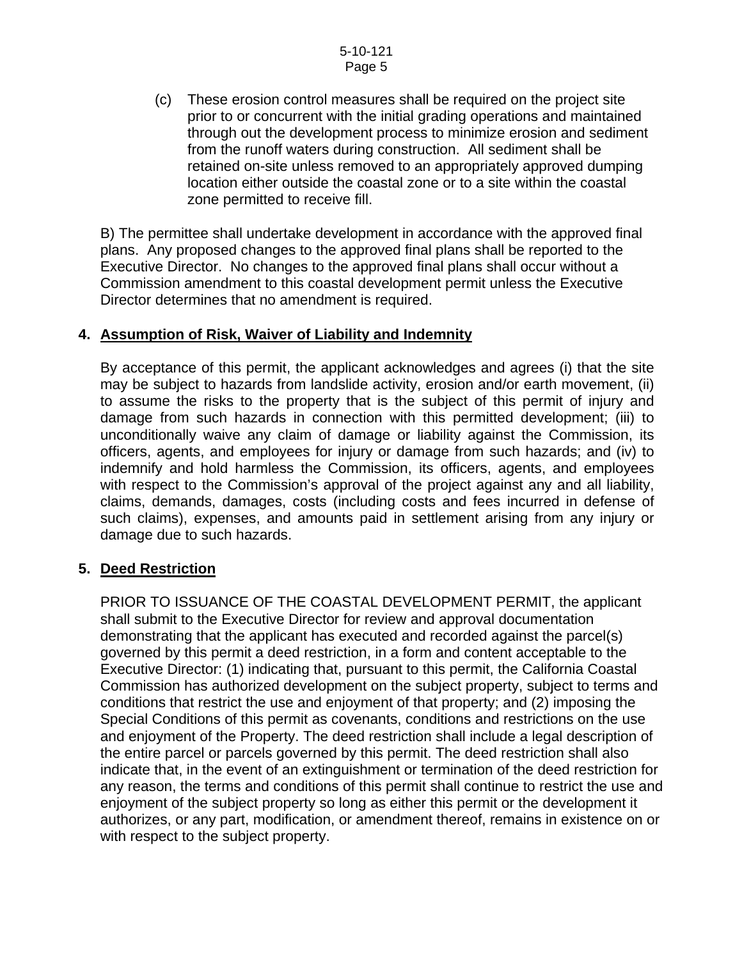(c) These erosion control measures shall be required on the project site prior to or concurrent with the initial grading operations and maintained through out the development process to minimize erosion and sediment from the runoff waters during construction. All sediment shall be retained on-site unless removed to an appropriately approved dumping location either outside the coastal zone or to a site within the coastal zone permitted to receive fill.

 B) The permittee shall undertake development in accordance with the approved final plans. Any proposed changes to the approved final plans shall be reported to the Executive Director. No changes to the approved final plans shall occur without a Commission amendment to this coastal development permit unless the Executive Director determines that no amendment is required.

## **4. Assumption of Risk, Waiver of Liability and Indemnity**

 By acceptance of this permit, the applicant acknowledges and agrees (i) that the site may be subject to hazards from landslide activity, erosion and/or earth movement, (ii) to assume the risks to the property that is the subject of this permit of injury and damage from such hazards in connection with this permitted development; (iii) to unconditionally waive any claim of damage or liability against the Commission, its officers, agents, and employees for injury or damage from such hazards; and (iv) to indemnify and hold harmless the Commission, its officers, agents, and employees with respect to the Commission's approval of the project against any and all liability, claims, demands, damages, costs (including costs and fees incurred in defense of such claims), expenses, and amounts paid in settlement arising from any injury or damage due to such hazards.

## **5. Deed Restriction**

PRIOR TO ISSUANCE OF THE COASTAL DEVELOPMENT PERMIT, the applicant shall submit to the Executive Director for review and approval documentation demonstrating that the applicant has executed and recorded against the parcel(s) governed by this permit a deed restriction, in a form and content acceptable to the Executive Director: (1) indicating that, pursuant to this permit, the California Coastal Commission has authorized development on the subject property, subject to terms and conditions that restrict the use and enjoyment of that property; and (2) imposing the Special Conditions of this permit as covenants, conditions and restrictions on the use and enjoyment of the Property. The deed restriction shall include a legal description of the entire parcel or parcels governed by this permit. The deed restriction shall also indicate that, in the event of an extinguishment or termination of the deed restriction for any reason, the terms and conditions of this permit shall continue to restrict the use and enjoyment of the subject property so long as either this permit or the development it authorizes, or any part, modification, or amendment thereof, remains in existence on or with respect to the subject property.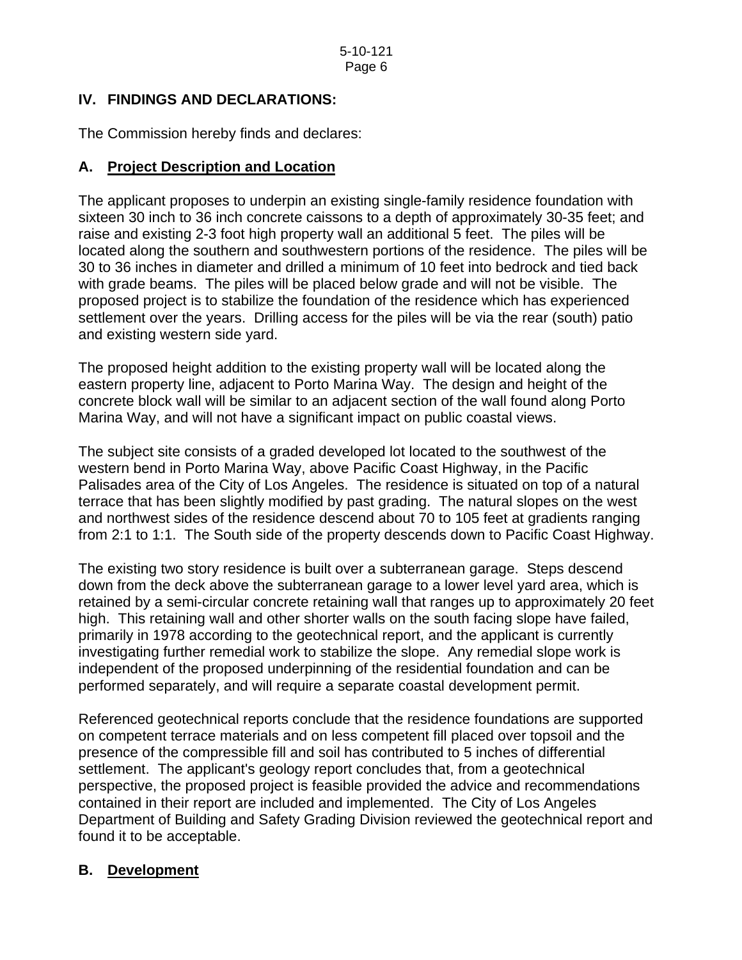## **IV. FINDINGS AND DECLARATIONS:**

The Commission hereby finds and declares:

## **A. Project Description and Location**

The applicant proposes to underpin an existing single-family residence foundation with sixteen 30 inch to 36 inch concrete caissons to a depth of approximately 30-35 feet; and raise and existing 2-3 foot high property wall an additional 5 feet. The piles will be located along the southern and southwestern portions of the residence. The piles will be 30 to 36 inches in diameter and drilled a minimum of 10 feet into bedrock and tied back with grade beams. The piles will be placed below grade and will not be visible. The proposed project is to stabilize the foundation of the residence which has experienced settlement over the years. Drilling access for the piles will be via the rear (south) patio and existing western side yard.

The proposed height addition to the existing property wall will be located along the eastern property line, adjacent to Porto Marina Way. The design and height of the concrete block wall will be similar to an adjacent section of the wall found along Porto Marina Way, and will not have a significant impact on public coastal views.

The subject site consists of a graded developed lot located to the southwest of the western bend in Porto Marina Way, above Pacific Coast Highway, in the Pacific Palisades area of the City of Los Angeles. The residence is situated on top of a natural terrace that has been slightly modified by past grading. The natural slopes on the west and northwest sides of the residence descend about 70 to 105 feet at gradients ranging from 2:1 to 1:1. The South side of the property descends down to Pacific Coast Highway.

The existing two story residence is built over a subterranean garage. Steps descend down from the deck above the subterranean garage to a lower level yard area, which is retained by a semi-circular concrete retaining wall that ranges up to approximately 20 feet high. This retaining wall and other shorter walls on the south facing slope have failed, primarily in 1978 according to the geotechnical report, and the applicant is currently investigating further remedial work to stabilize the slope. Any remedial slope work is independent of the proposed underpinning of the residential foundation and can be performed separately, and will require a separate coastal development permit.

Referenced geotechnical reports conclude that the residence foundations are supported on competent terrace materials and on less competent fill placed over topsoil and the presence of the compressible fill and soil has contributed to 5 inches of differential settlement. The applicant's geology report concludes that, from a geotechnical perspective, the proposed project is feasible provided the advice and recommendations contained in their report are included and implemented. The City of Los Angeles Department of Building and Safety Grading Division reviewed the geotechnical report and found it to be acceptable.

# **B. Development**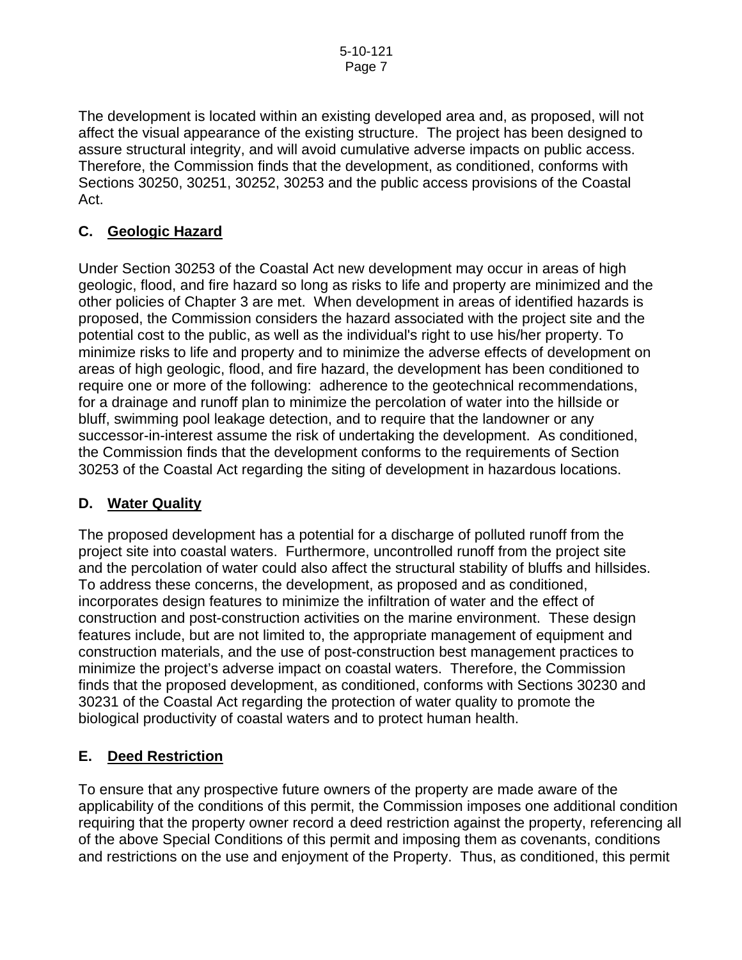The development is located within an existing developed area and, as proposed, will not affect the visual appearance of the existing structure. The project has been designed to assure structural integrity, and will avoid cumulative adverse impacts on public access. Therefore, the Commission finds that the development, as conditioned, conforms with Sections 30250, 30251, 30252, 30253 and the public access provisions of the Coastal Act.

# **C. Geologic Hazard**

Under Section 30253 of the Coastal Act new development may occur in areas of high geologic, flood, and fire hazard so long as risks to life and property are minimized and the other policies of Chapter 3 are met. When development in areas of identified hazards is proposed, the Commission considers the hazard associated with the project site and the potential cost to the public, as well as the individual's right to use his/her property. To minimize risks to life and property and to minimize the adverse effects of development on areas of high geologic, flood, and fire hazard, the development has been conditioned to require one or more of the following: adherence to the geotechnical recommendations, for a drainage and runoff plan to minimize the percolation of water into the hillside or bluff, swimming pool leakage detection, and to require that the landowner or any successor-in-interest assume the risk of undertaking the development. As conditioned, the Commission finds that the development conforms to the requirements of Section 30253 of the Coastal Act regarding the siting of development in hazardous locations.

## **D. Water Quality**

The proposed development has a potential for a discharge of polluted runoff from the project site into coastal waters. Furthermore, uncontrolled runoff from the project site and the percolation of water could also affect the structural stability of bluffs and hillsides. To address these concerns, the development, as proposed and as conditioned, incorporates design features to minimize the infiltration of water and the effect of construction and post-construction activities on the marine environment. These design features include, but are not limited to, the appropriate management of equipment and construction materials, and the use of post-construction best management practices to minimize the project's adverse impact on coastal waters. Therefore, the Commission finds that the proposed development, as conditioned, conforms with Sections 30230 and 30231 of the Coastal Act regarding the protection of water quality to promote the biological productivity of coastal waters and to protect human health.

## **E. Deed Restriction**

To ensure that any prospective future owners of the property are made aware of the applicability of the conditions of this permit, the Commission imposes one additional condition requiring that the property owner record a deed restriction against the property, referencing all of the above Special Conditions of this permit and imposing them as covenants, conditions and restrictions on the use and enjoyment of the Property. Thus, as conditioned, this permit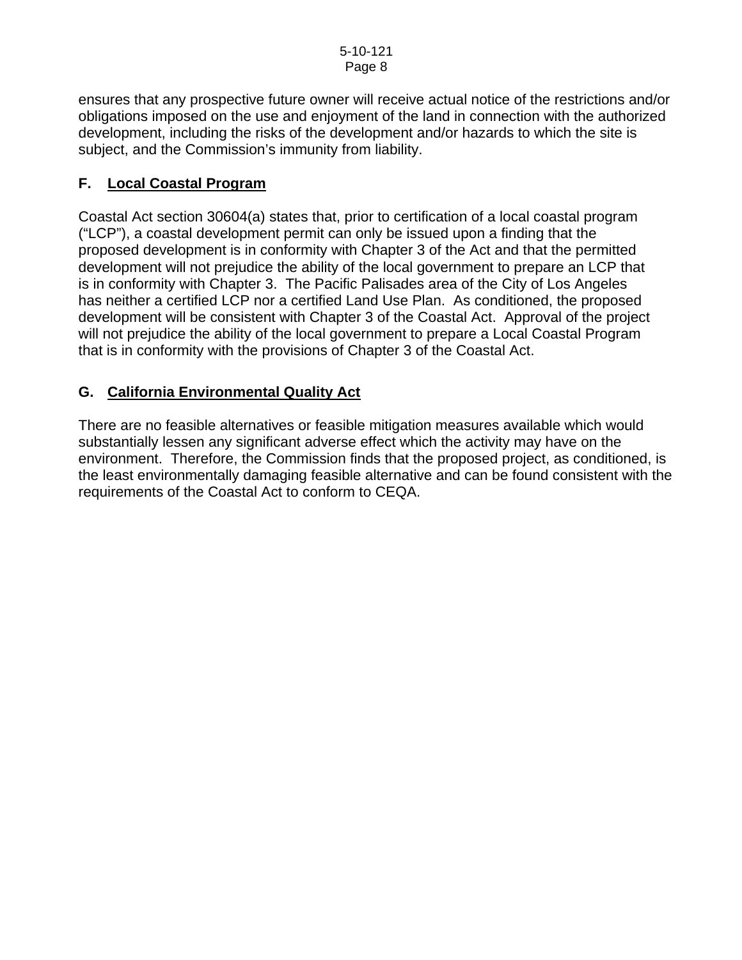ensures that any prospective future owner will receive actual notice of the restrictions and/or obligations imposed on the use and enjoyment of the land in connection with the authorized development, including the risks of the development and/or hazards to which the site is subject, and the Commission's immunity from liability.

# **F. Local Coastal Program**

Coastal Act section 30604(a) states that, prior to certification of a local coastal program ("LCP"), a coastal development permit can only be issued upon a finding that the proposed development is in conformity with Chapter 3 of the Act and that the permitted development will not prejudice the ability of the local government to prepare an LCP that is in conformity with Chapter 3. The Pacific Palisades area of the City of Los Angeles has neither a certified LCP nor a certified Land Use Plan. As conditioned, the proposed development will be consistent with Chapter 3 of the Coastal Act. Approval of the project will not prejudice the ability of the local government to prepare a Local Coastal Program that is in conformity with the provisions of Chapter 3 of the Coastal Act.

# **G. California Environmental Quality Act**

There are no feasible alternatives or feasible mitigation measures available which would substantially lessen any significant adverse effect which the activity may have on the environment. Therefore, the Commission finds that the proposed project, as conditioned, is the least environmentally damaging feasible alternative and can be found consistent with the requirements of the Coastal Act to conform to CEQA.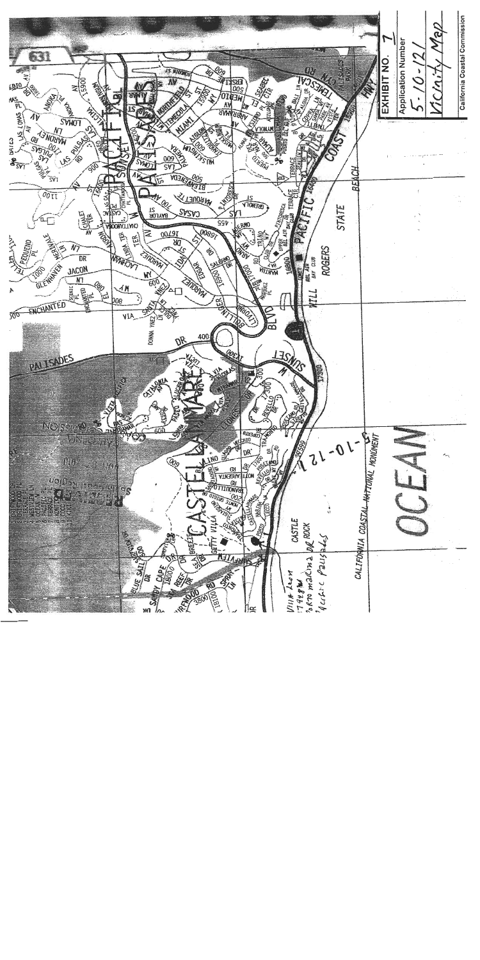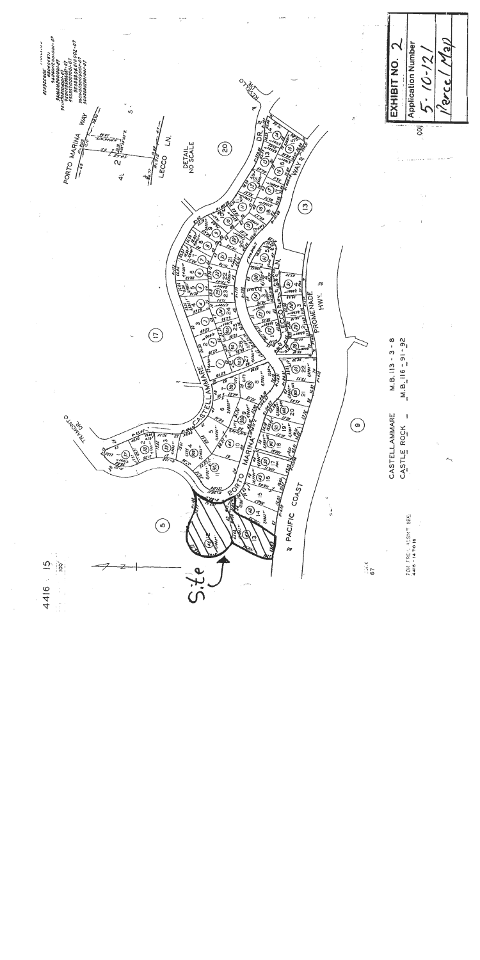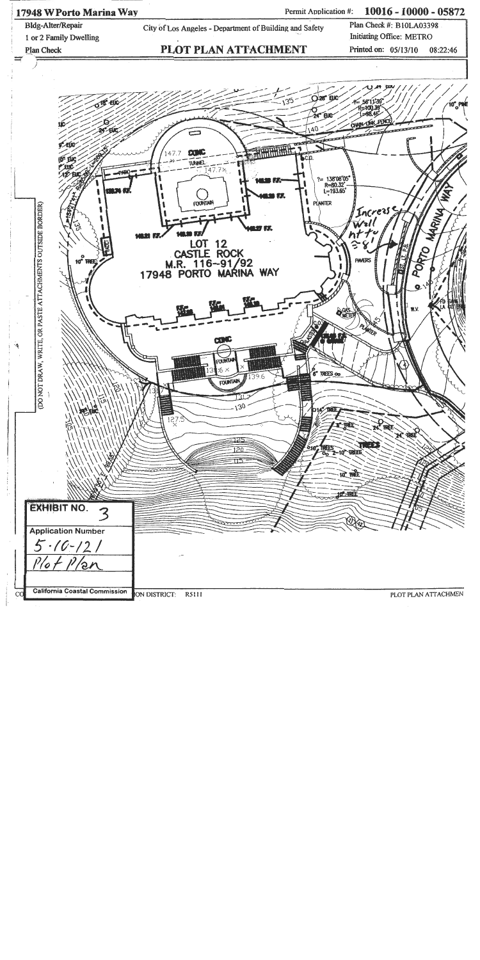